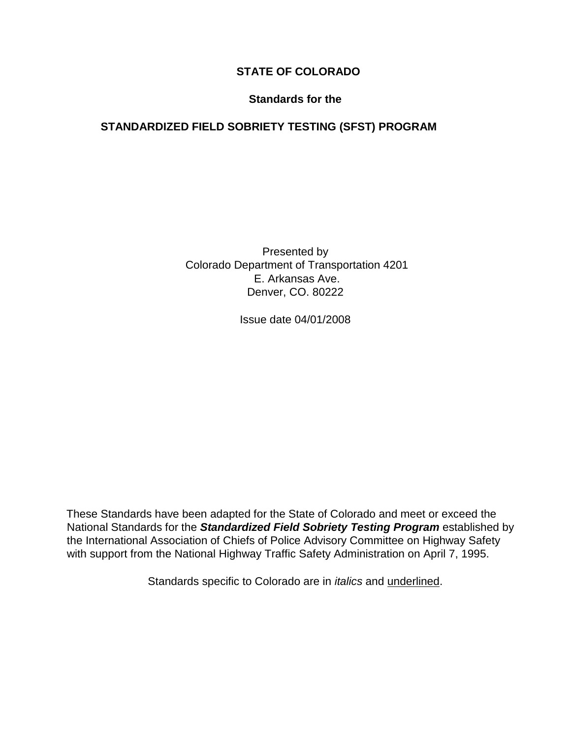# **STATE OF COLORADO**

#### **Standards for the**

# **STANDARDIZED FIELD SOBRIETY TESTING (SFST) PROGRAM**

Presented by Colorado Department of Transportation 4201 E. Arkansas Ave. Denver, CO. 80222

Issue date 04/01/2008

These Standards have been adapted for the State of Colorado and meet or exceed the National Standards for the *Standardized Field Sobriety Testing Program* established by the International Association of Chiefs of Police Advisory Committee on Highway Safety with support from the National Highway Traffic Safety Administration on April 7, 1995.

Standards specific to Colorado are in *italics* and underlined.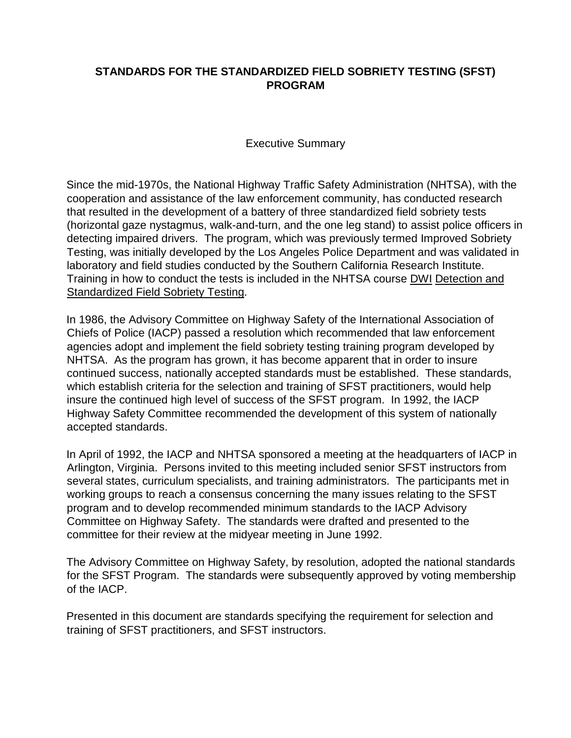### **STANDARDS FOR THE STANDARDIZED FIELD SOBRIETY TESTING (SFST) PROGRAM**

Executive Summary

Since the mid-1970s, the National Highway Traffic Safety Administration (NHTSA), with the cooperation and assistance of the law enforcement community, has conducted research that resulted in the development of a battery of three standardized field sobriety tests (horizontal gaze nystagmus, walk-and-turn, and the one leg stand) to assist police officers in detecting impaired drivers. The program, which was previously termed Improved Sobriety Testing, was initially developed by the Los Angeles Police Department and was validated in laboratory and field studies conducted by the Southern California Research Institute. Training in how to conduct the tests is included in the NHTSA course DWI Detection and Standardized Field Sobriety Testing.

In 1986, the Advisory Committee on Highway Safety of the International Association of Chiefs of Police (IACP) passed a resolution which recommended that law enforcement agencies adopt and implement the field sobriety testing training program developed by NHTSA. As the program has grown, it has become apparent that in order to insure continued success, nationally accepted standards must be established. These standards, which establish criteria for the selection and training of SFST practitioners, would help insure the continued high level of success of the SFST program. In 1992, the IACP Highway Safety Committee recommended the development of this system of nationally accepted standards.

In April of 1992, the IACP and NHTSA sponsored a meeting at the headquarters of IACP in Arlington, Virginia. Persons invited to this meeting included senior SFST instructors from several states, curriculum specialists, and training administrators. The participants met in working groups to reach a consensus concerning the many issues relating to the SFST program and to develop recommended minimum standards to the IACP Advisory Committee on Highway Safety. The standards were drafted and presented to the committee for their review at the midyear meeting in June 1992.

The Advisory Committee on Highway Safety, by resolution, adopted the national standards for the SFST Program. The standards were subsequently approved by voting membership of the IACP.

Presented in this document are standards specifying the requirement for selection and training of SFST practitioners, and SFST instructors.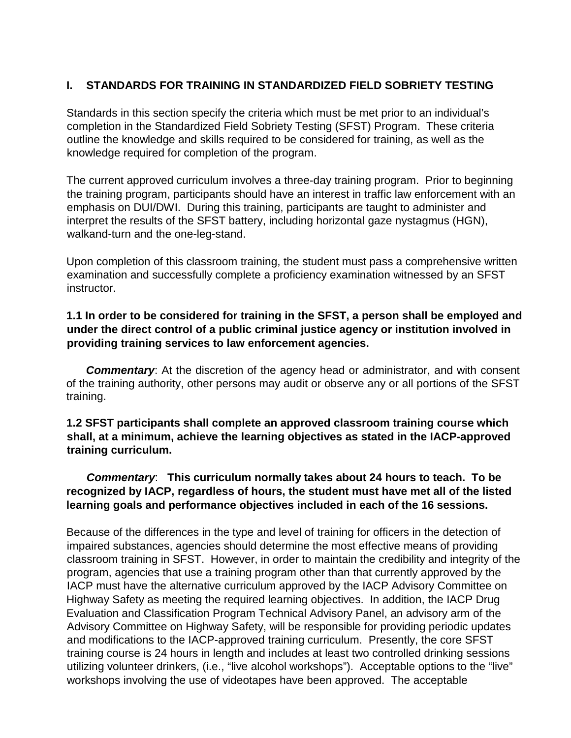#### **I. STANDARDS FOR TRAINING IN STANDARDIZED FIELD SOBRIETY TESTING**

Standards in this section specify the criteria which must be met prior to an individual's completion in the Standardized Field Sobriety Testing (SFST) Program. These criteria outline the knowledge and skills required to be considered for training, as well as the knowledge required for completion of the program.

The current approved curriculum involves a three-day training program. Prior to beginning the training program, participants should have an interest in traffic law enforcement with an emphasis on DUI/DWI. During this training, participants are taught to administer and interpret the results of the SFST battery, including horizontal gaze nystagmus (HGN), walkand-turn and the one-leg-stand.

Upon completion of this classroom training, the student must pass a comprehensive written examination and successfully complete a proficiency examination witnessed by an SFST instructor.

#### **1.1 In order to be considered for training in the SFST, a person shall be employed and under the direct control of a public criminal justice agency or institution involved in providing training services to law enforcement agencies.**

*Commentary*: At the discretion of the agency head or administrator, and with consent of the training authority, other persons may audit or observe any or all portions of the SFST training.

#### **1.2 SFST participants shall complete an approved classroom training course which shall, at a minimum, achieve the learning objectives as stated in the IACP-approved training curriculum.**

## *Commentary*: **This curriculum normally takes about 24 hours to teach. To be recognized by IACP, regardless of hours, the student must have met all of the listed learning goals and performance objectives included in each of the 16 sessions.**

Because of the differences in the type and level of training for officers in the detection of impaired substances, agencies should determine the most effective means of providing classroom training in SFST. However, in order to maintain the credibility and integrity of the program, agencies that use a training program other than that currently approved by the IACP must have the alternative curriculum approved by the IACP Advisory Committee on Highway Safety as meeting the required learning objectives. In addition, the IACP Drug Evaluation and Classification Program Technical Advisory Panel, an advisory arm of the Advisory Committee on Highway Safety, will be responsible for providing periodic updates and modifications to the IACP-approved training curriculum. Presently, the core SFST training course is 24 hours in length and includes at least two controlled drinking sessions utilizing volunteer drinkers, (i.e., "live alcohol workshops"). Acceptable options to the "live" workshops involving the use of videotapes have been approved. The acceptable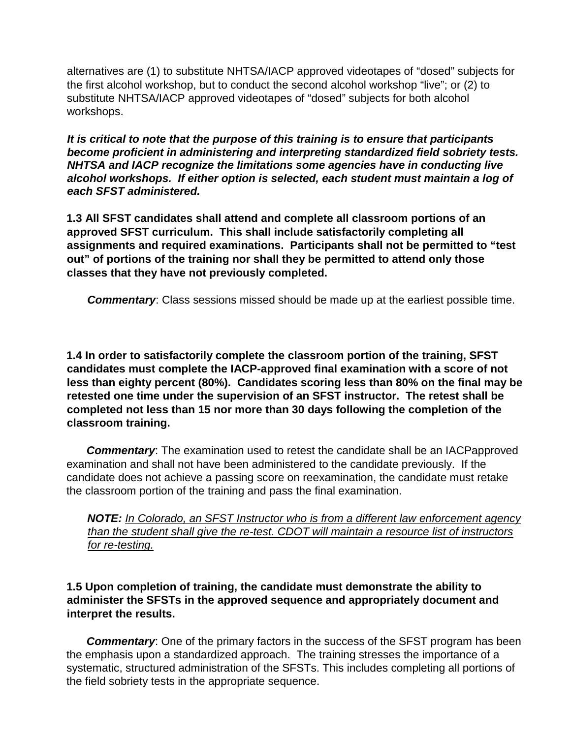alternatives are (1) to substitute NHTSA/IACP approved videotapes of "dosed" subjects for the first alcohol workshop, but to conduct the second alcohol workshop "live"; or (2) to substitute NHTSA/IACP approved videotapes of "dosed" subjects for both alcohol workshops.

*It is critical to note that the purpose of this training is to ensure that participants become proficient in administering and interpreting standardized field sobriety tests. NHTSA and IACP recognize the limitations some agencies have in conducting live alcohol workshops. If either option is selected, each student must maintain a log of each SFST administered.*

**1.3 All SFST candidates shall attend and complete all classroom portions of an approved SFST curriculum. This shall include satisfactorily completing all assignments and required examinations. Participants shall not be permitted to "test out" of portions of the training nor shall they be permitted to attend only those classes that they have not previously completed.** 

*Commentary*: Class sessions missed should be made up at the earliest possible time.

**1.4 In order to satisfactorily complete the classroom portion of the training, SFST candidates must complete the IACP-approved final examination with a score of not less than eighty percent (80%). Candidates scoring less than 80% on the final may be retested one time under the supervision of an SFST instructor. The retest shall be completed not less than 15 nor more than 30 days following the completion of the classroom training.** 

*Commentary*: The examination used to retest the candidate shall be an IACPapproved examination and shall not have been administered to the candidate previously. If the candidate does not achieve a passing score on reexamination, the candidate must retake the classroom portion of the training and pass the final examination.

*NOTE: In Colorado, an SFST Instructor who is from a different law enforcement agency than the student shall give the re-test. CDOT will maintain a resource list of instructors for re-testing.*

**1.5 Upon completion of training, the candidate must demonstrate the ability to administer the SFSTs in the approved sequence and appropriately document and interpret the results.** 

**Commentary:** One of the primary factors in the success of the SFST program has been the emphasis upon a standardized approach. The training stresses the importance of a systematic, structured administration of the SFSTs. This includes completing all portions of the field sobriety tests in the appropriate sequence.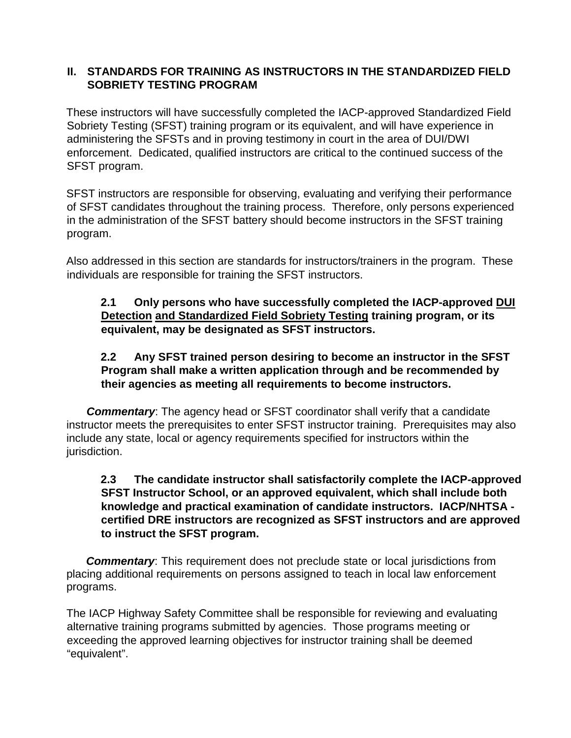### **II. STANDARDS FOR TRAINING AS INSTRUCTORS IN THE STANDARDIZED FIELD SOBRIETY TESTING PROGRAM**

These instructors will have successfully completed the IACP-approved Standardized Field Sobriety Testing (SFST) training program or its equivalent, and will have experience in administering the SFSTs and in proving testimony in court in the area of DUI/DWI enforcement. Dedicated, qualified instructors are critical to the continued success of the SFST program.

SFST instructors are responsible for observing, evaluating and verifying their performance of SFST candidates throughout the training process. Therefore, only persons experienced in the administration of the SFST battery should become instructors in the SFST training program.

Also addressed in this section are standards for instructors/trainers in the program. These individuals are responsible for training the SFST instructors.

# **2.1 Only persons who have successfully completed the IACP-approved DUI Detection and Standardized Field Sobriety Testing training program, or its equivalent, may be designated as SFST instructors.**

# **2.2 Any SFST trained person desiring to become an instructor in the SFST Program shall make a written application through and be recommended by their agencies as meeting all requirements to become instructors.**

*Commentary*: The agency head or SFST coordinator shall verify that a candidate instructor meets the prerequisites to enter SFST instructor training. Prerequisites may also include any state, local or agency requirements specified for instructors within the jurisdiction.

#### **2.3 The candidate instructor shall satisfactorily complete the IACP-approved SFST Instructor School, or an approved equivalent, which shall include both knowledge and practical examination of candidate instructors. IACP/NHTSA certified DRE instructors are recognized as SFST instructors and are approved to instruct the SFST program.**

*Commentary*: This requirement does not preclude state or local jurisdictions from placing additional requirements on persons assigned to teach in local law enforcement programs.

The IACP Highway Safety Committee shall be responsible for reviewing and evaluating alternative training programs submitted by agencies. Those programs meeting or exceeding the approved learning objectives for instructor training shall be deemed "equivalent".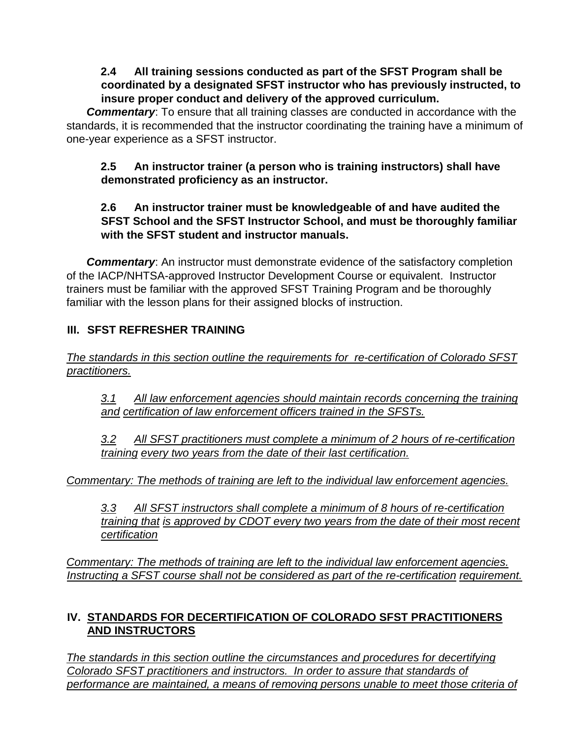# **2.4 All training sessions conducted as part of the SFST Program shall be coordinated by a designated SFST instructor who has previously instructed, to insure proper conduct and delivery of the approved curriculum.**

*Commentary*: To ensure that all training classes are conducted in accordance with the standards, it is recommended that the instructor coordinating the training have a minimum of one-year experience as a SFST instructor.

## **2.5 An instructor trainer (a person who is training instructors) shall have demonstrated proficiency as an instructor.**

# **2.6 An instructor trainer must be knowledgeable of and have audited the SFST School and the SFST Instructor School, and must be thoroughly familiar with the SFST student and instructor manuals.**

**Commentary:** An instructor must demonstrate evidence of the satisfactory completion of the IACP/NHTSA-approved Instructor Development Course or equivalent. Instructor trainers must be familiar with the approved SFST Training Program and be thoroughly familiar with the lesson plans for their assigned blocks of instruction.

# **III. SFST REFRESHER TRAINING**

*The standards in this section outline the requirements for re-certification of Colorado SFST practitioners.*

*3.1 All law enforcement agencies should maintain records concerning the training and certification of law enforcement officers trained in the SFSTs.*

*3.2 All SFST practitioners must complete a minimum of 2 hours of re-certification training every two years from the date of their last certification.*

*Commentary: The methods of training are left to the individual law enforcement agencies.*

*3.3 All SFST instructors shall complete a minimum of 8 hours of re-certification training that is approved by CDOT every two years from the date of their most recent certification*

*Commentary: The methods of training are left to the individual law enforcement agencies.* Instructing a SFST course shall not be considered as part of the re-certification *requirement*.

# **IV. STANDARDS FOR DECERTIFICATION OF COLORADO SFST PRACTITIONERS AND INSTRUCTORS**

*The standards in this section outline the circumstances and procedures for decertifying Colorado SFST practitioners and instructors. In order to assure that standards of performance are maintained, a means of removing persons unable to meet those criteria of*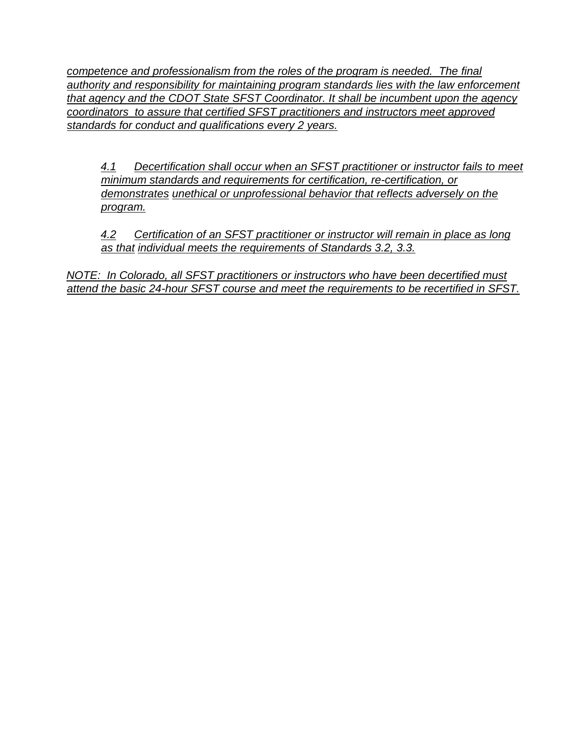*competence and professionalism from the roles of the program is needed. The final authority and responsibility for maintaining program standards lies with the law enforcement that agency and the CDOT State SFST Coordinator. It shall be incumbent upon the agency coordinators to assure that certified SFST practitioners and instructors meet approved standards for conduct and qualifications every 2 years.*

*4.1 Decertification shall occur when an SFST practitioner or instructor fails to meet minimum standards and requirements for certification, re-certification, or demonstrates unethical or unprofessional behavior that reflects adversely on the program.*

*4.2 Certification of an SFST practitioner or instructor will remain in place as long as that individual meets the requirements of Standards 3.2, 3.3.*

*NOTE: In Colorado, all SFST practitioners or instructors who have been decertified must attend the basic 24-hour SFST course and meet the requirements to be recertified in SFST.*